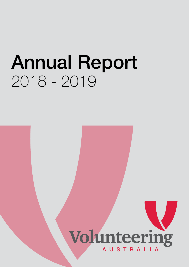# Annual Report 2018 - 2019



Volunteering Australia Annual Report 2018 - 2019 1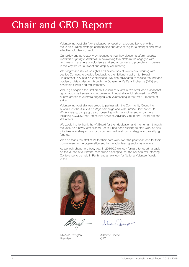Volunteering Australia (VA) is pleased to report on a productive year with a focus on building strategic partnerships and advocating for a stronger and more effective volunteering sector.

Our policy and advocacy work focused on our key election platform, leading a culture of giving in Australia. In developing this platform we engaged with volunteers, managers of volunteers and sector partners to promote an increase in the way we value, invest and amplify volunteering.

We progressed issues on rights and protections of volunteers, working with Justice Connect to provide feedback to the National Inquiry into Sexual Harassment in Australian Workplaces. We also advocated to reduce the red tape burden of data collection through the Government's Data Exchange (DEX) and charitable fundraising requirements.

Working alongside the Settlement Council of Australia, we produced a snapshot report about settlement and volunteering in Australia which showed that 65% of new arrivals to Australia engaged with volunteering in the first 18 months of arrival.

Volunteering Australia was proud to partner with the Community Council for Australia on the It Takes a Village campaign and with Justice Connect on its #fixfundraising campaign, also consulting with many other sector partners including ACOSS, the Community Services Advisory Group and United Nations Volunteers.

We would like to thank the VA Board for their dedication and momentum through the year. As a newly established Board it has been exciting to start work on new initiatives and sharpen our focus on new partnerships, strategy and diversifying funding.

We also thank the staff at VA for their hard work over the past year, and for their commitment to the organisation and to the volunteering sector as a whole.

As we look ahead to a busy year in 2019/20 we look forward to reporting back on the launch of our brand new online clearinghouse, the National Volunteering Conference to be held in Perth, and a new look for National Volunteer Week 2020.



Michelle Ewington President



Selvane

Adrienne Picone CEO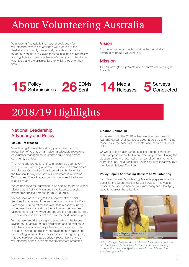# About Volunteering Australia

Volunteering Australia is the national peak body for volunteering, working to advance volunteering in the Australian community. We actively provide consultative feedback and input to Government to influence public policy, and highlight its impact on Australia's nearly six million formal volunteers and the organisations to which they offer their time.

### Vision

A stronger, more connected and resilient Australian community through volunteering.

# Mission

To lead, strengthen, promote and celebrate volunteering in Australia.







# 2018/19 Highlights

# National Leadership, Advocacy and Policy

#### Issues Progressed

Volunteering Australia has strongly advocated for the recognition of volunteering, including adequate resourcing of volunteer management in grants and funding across community services.

The rights and protections of volunteers has been a key priority for Volunteering Australia. This year, we collaborated with Justice Connect and contributed a submission to the National Inquiry into Sexual Harassment in Australian Workplaces. The advocacy on this continues into the next financial year.

We campaigned for indexation to be applied to the Volunteer Management Activity (VMA) and have been successful in having this applied from the 2019-20 budget.

VA has been advocating to the Department of Social Services for a review of the service type matrix of the Data Exchange (DEX) to reflect the work that is currently being undertaken by organisations funded under the Volunteer Management Activity (VMA) and reduce the red tape burden. The advocacy on DEX continues into the next financial year.

VA has been working strongly to advocate on the issues relating to Jobactive, mutual obligations and its relation to volunteering as a potential pathway to employment. This includes making submissions to government inquiries and participating in consultative processes to strengthen policy, improve services and appropriately recognise the role of volunteering in the Government's employment programs.

#### Election Campaign

In the lead up to the 2019 federal election, Volunteering Australia called for all parties to adopt a policy platform that responds to the needs of the sector and leads a culture of giving.

VA wrote to the major parties seeking a commitment on policy proposals identified in our election platform. During the election period we received a number of commitments from all parties, including additional funding for new initiatives from the Liberal National Coalition.

#### Policy Paper: Addressing Barriers to Volunteering

Each financial year Volunteering Australia prepares a policy paper for the Department of Social Services. This year's paper is focused on barriers to volunteering and identifying ways to address these barriers.



*Policy Manager, Lavanya Kala addresses the Senate Education and Employment Committees to discuss the issues relating to Jobactive, mutual obligations, work for the dole and the volunteering activity.*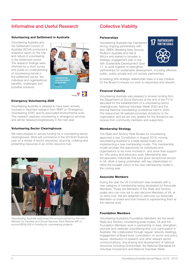# Informative and Useful Research

#### Volunteering and Settlement in Australia

Volunteering Australia and the Settlement Council of Australia (SCoA) produced a snapshot report on the role and nature of volunteering in the settlement sector. The research findings were informed by a short survey and builds an understanding of volunteering trends in the settlement sector, the individual and organisational benefits, challenges and possible solutions.



#### Emergency Volunteering 2030

Volunteering Australia is pleased to have been actively involved in important research from RMIT on 'Emergency Volunteering 2030' and its associated environmental scan. This research explores volunteering in emergency services and will be released progressively in the next year.

#### Volunteering Sector Clearinghouse

We were pleased to secure funding for a volunteering sector clearinghouse. Work will commence in the 2019/20 financial year on a review of sector resources, sourcing, collating and presenting resources in an online resource hub.



*Volunteering Australia welcomed the announcement by the Hon Minister for Families and Social Services Paul Fletcher MP of around \$559,000 in funding for volunteering projects.*

## Collective Viability

#### **Partnerships**

Volunteering Australia has maintained strong ongoing partnerships with Aon, SEEK, Breaking New Ground, ProBono Australia and Hall & Wilcox and started to broaden a strategic engagement plan in line with Sustainable Development Goal 17, to work together to strengthen



partnerships for sustainable development, including effective public, public-private and civil society partnerships.

Increasing VA's strategic stakeholder base is a key initiative for the Board to ensure our work is responsive and relevant.

#### Financial Viability

Volunteering Australia was pleased to receive funding from the Department of Social Services at the end of the FY19, allocated for the establishment of a volunteering sector clearinghouse, National Volunteer Week 2020 and the biennial National Volunteering Conference held in 2020. The relaunched VA website promotes donations to the organisation and we are very grateful for the donations we receive from community members and supporters.

#### Membership Strategy

The State and Territory Peak Bodies for volunteering approved a new Constitution in August 2018, moving Volunteering Australia to a skills-based board and implementing a new membership model. This membership model provides the opportunity for individuals and organisations to be more involved in, and show their support for, VA's policy and advocacy work. Membership also encapsulates individuals that have given exceptional service to VA. Work is being undertaken with key stakeholders to refine the broader rollout of the new membership model in the coming year.

#### Associate Members

During the year the VA Constitution was reviewed with a new category of membership being developed for Associate Members. These are Members of the State and Territory peaks who can now opt to also become Members of VA, at no extra cost. We are delighted to welcome our Associate Members on board and look forward to representing them at the national level.

#### Foundation Members

Volunteering Australia's Foundation Members are the seven State and Territory volunteering peak bodies. VA and the Foundation Members work in partnership to lead, strengthen, promote and celebrate volunteering and civic participation in Australia. We collaborative through regular network meetings, engagement at Board level, consultation on sector and policy issues, distribution of research and other relevant sector communications, and sharing and development of national resources including GoVolunteer, the National Standards for Volunteer Involvement and National Volunteer Week.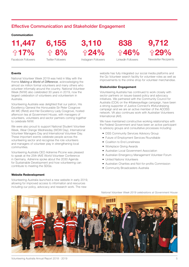## Effective Communication and Stakeholder Engagement

#### Communication

11,447 6,155 3,110 **↑17% ↑8% ↑24%** 

Facebook Followers

Twitter Followers

Instagram Followers

 838  $\hat{m}$  46%

9,712 ↑29%

Newsletter Recipients

LinkedIn Followers

#### Events

National Volunteer Week 2019 was held in May with the theme *Making a World of Difference*, acknowledging the almost six million formal volunteers and many others who volunteer informally around the country. National Volunteer Week (NVW) also celebrated 30 years in 2019, now the largest celebration of volunteers and volunteerism in Australia.

Volunteering Australia was delighted that our patron, His Excellency General the Honourable Sir Peter Cosgrove AK MC (Retd) and Her Excellency Lady Cosgrove, hosted afternoon tea at Government House, with managers of volunteers, volunteers and sector partners coming together to celebrate NVW.

We were also proud to support National Student Volunteer Week, Wear Orange Wednesday (WOW Day), International Volunteer Managers Day and International Volunteer Day. These important events celebrate people across the volunteering sector and recognise the role volunteers and managers of volunteer play in strengthening local communities.

Volunteering Australia CEO Adrienne Picone was pleased to speak at the 25th IAVE World Volunteer Conference in Germany. Adrienne spoke about the 2030 Agenda for Sustainable Development and how volunteering can contribute to meeting the SDGs.

#### Website Redevelopment

Volunteering Australia launched a new website in early 2019, allowing for improved access to information and resources including our policy, advocacy and research work. The new

website has fully integrated our social media platforms and the Go Volunteer search facility for volunteer roles as well as improvements to the online shop for volunteer merchandise.

#### Stakeholder Engagement

Volunteering Australia has continued to work closely with sector partners on issues-based policy and advocacy initiatives. We partnered with the Community Council for Australia (CCA) on the #ittakesavillage campaign, have been a strong supporter of Justice Connect's #fixfundraising campaign and we are an active member of the ACOSS network. VA also continues work with Australian Volunteers International (AVI).

We have maintained constructive working relationships with the Federal Government and have been an active participant to advisory groups and consultative processes including:

- DSS Community Services Advisory Group
- Future of Employment Services Roundtable
- Coalition to End Loneliness
- Workplace Giving Awards
- Australian Local Government Association
- Australian Emergency Management Volunteer Forum
- United Nations Volunteers
- Australian Charities and Not-for-profits Commission

*National Volunteer Week 2019 celebrations at Government House*

• Community Broadcasters Australia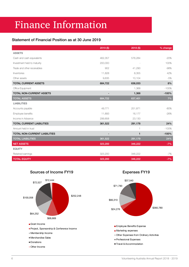# Finance Information

### Statement of Financial Position as at 30 June 2019

|                                  | $2019($ \$) | $2018($ \$)  | % change |
|----------------------------------|-------------|--------------|----------|
| <b>ASSETS</b>                    |             |              |          |
| Cash and cash equivalents        | 462,357     | 576,284      | $-20%$   |
| Investment held to maturity      | 200,000     |              | 100%     |
| Trade and other receivables      | 902         | 41,290       | $-98%$   |
| Inventories                      | 11,828      | 8,355        | 42%      |
| Other assets                     | 9,635       | 10,104       | $-5%$    |
| <b>TOTAL CURRENT ASSETS</b>      | 684,722     | 636,033      | 8%       |
| Office Equipment                 |             | 1,368        | $-100%$  |
| <b>TOTAL NON-CURRENT ASSETS</b>  |             | 1,368        | $-100%$  |
| <b>TOTAL ASSETS</b>              | 684,722     | 637,401      | 7%       |
| <b>LIABILITIES</b>               |             |              |          |
| Accounts payable                 | 49,771      | 251,871      | $-80%$   |
| Employee benefits                | 11,893      | 16,177       | $-26%$   |
| Income in Advance                | 299,858     | 23,130       |          |
| <b>TOTAL CURRENT LIABILITIES</b> | 361,522     | 291,178      | 24%      |
| Amount held in trust             |             | 1            | $-100%$  |
| TOTAL NON-CURRENT LIABILITIES    |             | $\mathbf{1}$ | $-100%$  |
| <b>TOTAL LIABILITIES</b>         | 361,522     | 291,179      | 24%      |
| <b>NET ASSETS</b>                | 323,200     | 346,222      | $-7%$    |
| <b>EQUITY</b>                    |             |              |          |
| Retained earnings                | 323,200     | 346,222      | $-7%$    |
| <b>TOTAL EQUITY</b>              | 323,200     | 346,222      | $-7%$    |



Expenses FY19

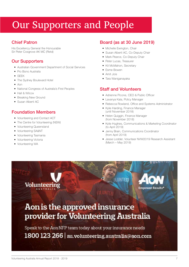# Our Supporters and People

# Chief Patron

His Excellency General the Honourable Sir Peter Cosgrove AK MC (Retd)

# Our Supporters

- Australian Government Department of Social Services
- Pro Bono Australia
- SEEK
- The Sydney Boulevard Hotel
- $\bullet$  Aon
- National Congress of Australia's First Peoples
- Hall & Wilcox
- Breaking New Ground
- Susan Alberti AC

# Foundation Members

- Volunteering and Contact ACT
- The Centre for Volunteering (NSW)

**Volunteering** 

- Volunteering Queensland
- Volunteering SA&NT
- Volunteering Tasmania
- Volunteering Victoria
- Volunteering WA

# Board (as at 30 June 2019)

- Michelle Ewington, Chair
- Susan Alberti AC, Co-Deputy Chair
- Mark Pearce, Co-Deputy Chair
- Peter Lucas, Treasurer
- Kit McMahon, Secretary
- Esme Bowen
- Amit Jois
- Tara Waniganayaka

## Staff and Volunteers

- Adrienne Picone, CEO & Public Officer
- Lavanya Kala, Policy Manager
- Rebecca Rowland, Office and Systems Administrator
- Kylie Harding, Finance Manager (until November 2018)

**LUNTER** 

- Helen Quiggin, Finance Manager (from November 2018)
- Kylie Hughes, Communications & Marketing Coordinator (to April 2019)
- Jenny Brain, Communications Coordinator (from April 2019)
- Jesse Lodder, Volunteer NVW2019 Research Assistant (March – May 2019)

**Empower Results** 



Speak to the Aon NFP team today about your insurance needs 1800 123 266 | au.volunteering.australia@aon.com